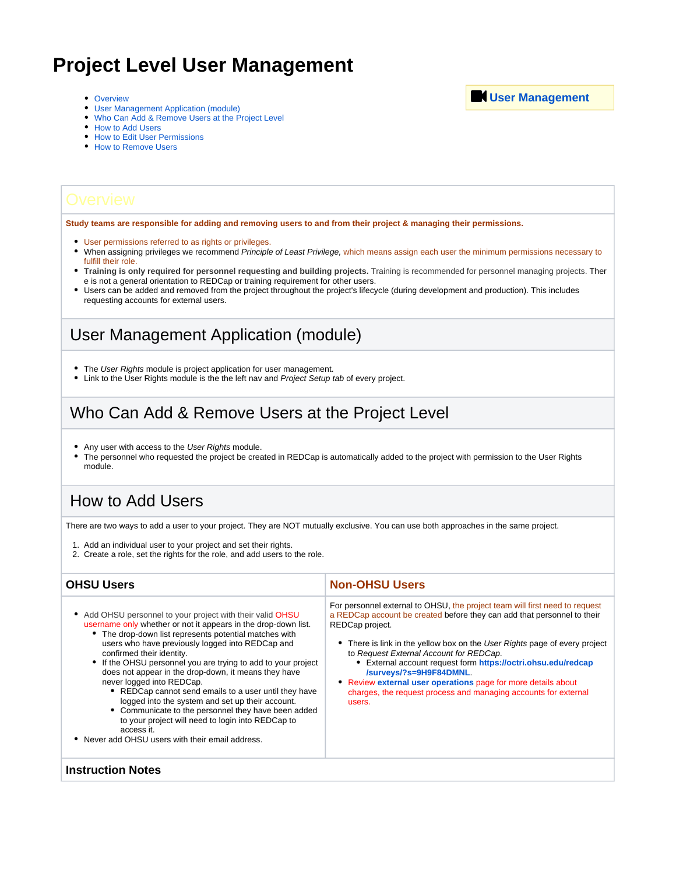# **Project Level User Management**

- [Overview](#page-0-0)
- [User Management Application \(module\)](#page-0-1)
- [Who Can Add & Remove Users at the Project Level](#page-0-2)
- [How to Add Users](#page-0-3)
- [How to Edit User Permissions](#page-1-0)
- [How to Remove Users](#page-1-1)

<span id="page-0-0"></span>**Study teams are responsible for adding and removing users to and from their project & managing their permissions.** 

- User permissions referred to as rights or privileges.
- . When assigning privileges we recommend Principle of Least Privilege, which means assign each user the minimum permissions necessary to fulfill their role.
- **Training is only required for personnel requesting and building projects.** Training is recommended for personnel managing projects. Ther e is not a general orientation to REDCap or training requirement for other users.
- Users can be added and removed from the project throughout the project's lifecycle (during development and production). This includes requesting accounts for external users.

### <span id="page-0-1"></span>User Management Application (module)

- The User Rights module is project application for user management.
- Link to the User Rights module is the the left nav and Project Setup tab of every project.

### <span id="page-0-2"></span>Who Can Add & Remove Users at the Project Level

- Any user with access to the User Rights module.
- The personnel who requested the project be created in REDCap is automatically added to the project with permission to the User Rights module.

#### <span id="page-0-3"></span>How to Add Users

There are two ways to add a user to your project. They are NOT mutually exclusive. You can use both approaches in the same project.

- 1. Add an individual user to your project and set their rights.
- 2. Create a role, set the rights for the role, and add users to the role.

#### **OHSU Users Non-OHSU Users** • Add OHSU personnel to your project with their valid OHSU username only whether or not it appears in the drop-down list. The drop-down list represents potential matches with users who have previously logged into REDCap and confirmed their identity. • If the OHSU personnel you are trying to add to your project does not appear in the drop-down, it means they have never logged into REDCap. REDCap cannot send emails to a user until they have logged into the system and set up their account. Communicate to the personnel they have been added to your project will need to login into REDCap to access it. Never add OHSU users with their email address. For personnel external to OHSU, the project team will first need to request a REDCap account be created before they can add that personnel to their REDCap project. • There is link in the yellow box on the User Rights page of every project to Request External Account for REDCap. External account request form **[https://octri.ohsu.edu/redcap](https://octri.ohsu.edu/redcap/surveys/?s=9H9F84DMNL) [/surveys/?s=9H9F84DMNL](https://octri.ohsu.edu/redcap/surveys/?s=9H9F84DMNL)**. Review **external user operations** page for more details about charges, the request process and managing accounts for external users. **Instruction Notes**

**[User Management](https://www.youtube.com/watch?v=hOJvEZeBVQY&list=PL7BYF7v96y_ow4V59qBMzgJBqN4MDfex2&index=11)**